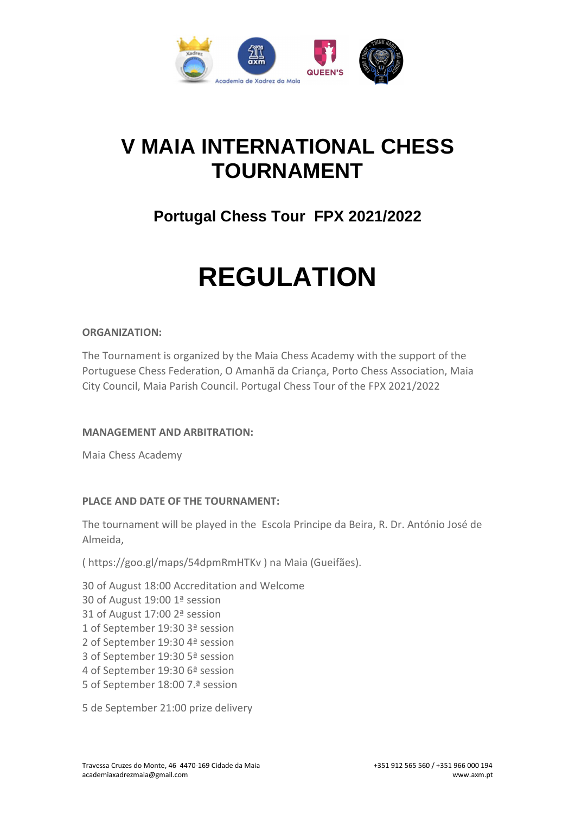

## **V MAIA INTERNATIONAL CHESS TOURNAMENT**

### **Portugal Chess Tour FPX 2021/2022**

# **REGULATION**

#### **ORGANIZATION:**

The Tournament is organized by the Maia Chess Academy with the support of the Portuguese Chess Federation, O Amanhã da Criança, Porto Chess Association, Maia City Council, Maia Parish Council. Portugal Chess Tour of the FPX 2021/2022

#### **MANAGEMENT AND ARBITRATION:**

Maia Chess Academy

#### **PLACE AND DATE OF THE TOURNAMENT:**

The tournament will be played in the Escola Principe da Beira, R. Dr. António José de Almeida,

( https://goo.gl/maps/54dpmRmHTKv ) na Maia (Gueifães).

30 of August 18:00 Accreditation and Welcome 30 of August 19:00 1ª session 31 of August 17:00 2ª session 1 of September 19:30 3ª session 2 of September 19:30 4ª session 3 of September 19:30 5ª session 4 of September 19:30 6ª session 5 of September 18:00 7.ª session

5 de September 21:00 prize delivery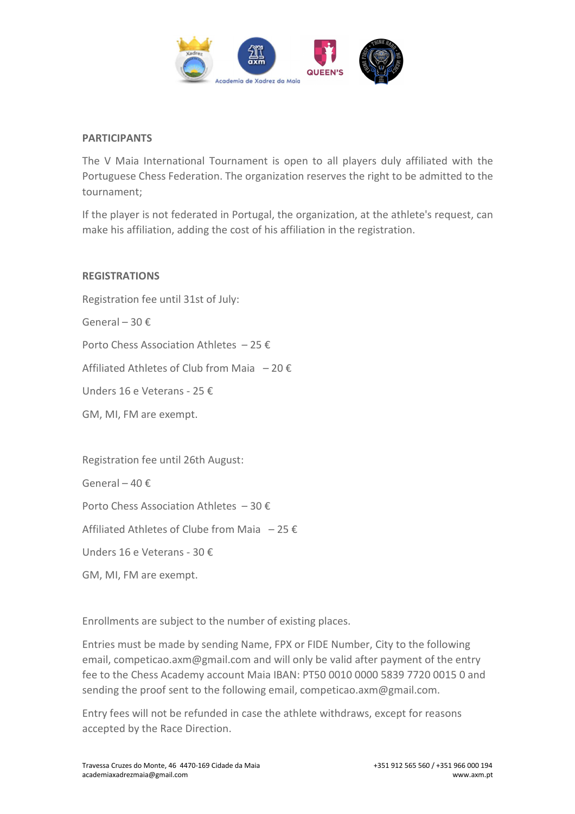

#### **PARTICIPANTS**

The V Maia International Tournament is open to all players duly affiliated with the Portuguese Chess Federation. The organization reserves the right to be admitted to the tournament;

If the player is not federated in Portugal, the organization, at the athlete's request, can make his affiliation, adding the cost of his affiliation in the registration.

#### **REGISTRATIONS**

Registration fee until 31st of July: General – 30 € Porto Chess Association Athletes  $-25 \notin$ Affiliated Athletes of Club from Maia  $-20 \in$ Unders 16 e Veterans - 25 € GM, MI, FM are exempt. Registration fee until 26th August: General – 40 $f$ 

Porto Chess Association Athletes – 30 €

Affiliated Athletes of Clube from Maia  $-25 \notin$ 

Unders 16 e Veterans - 30 €

GM, MI, FM are exempt.

Enrollments are subject to the number of existing places.

Entries must be made by sending Name, FPX or FIDE Number, City to the following email, competicao.axm@gmail.com and will only be valid after payment of the entry fee to the Chess Academy account Maia IBAN: PT50 0010 0000 5839 7720 0015 0 and sending the proof sent to the following email, competicao.axm@gmail.com.

Entry fees will not be refunded in case the athlete withdraws, except for reasons accepted by the Race Direction.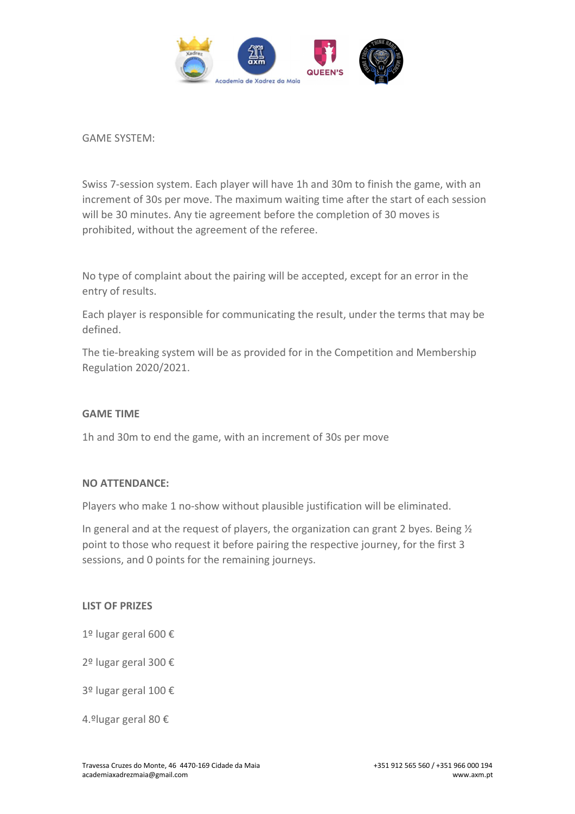

GAME SYSTEM:

Swiss 7-session system. Each player will have 1h and 30m to finish the game, with an increment of 30s per move. The maximum waiting time after the start of each session will be 30 minutes. Any tie agreement before the completion of 30 moves is prohibited, without the agreement of the referee.

No type of complaint about the pairing will be accepted, except for an error in the entry of results.

Each player is responsible for communicating the result, under the terms that may be defined.

The tie-breaking system will be as provided for in the Competition and Membership Regulation 2020/2021.

#### **GAME TIME**

1h and 30m to end the game, with an increment of 30s per move

#### **NO ATTENDANCE:**

Players who make 1 no-show without plausible justification will be eliminated.

In general and at the request of players, the organization can grant 2 byes. Being  $\frac{1}{2}$ point to those who request it before pairing the respective journey, for the first 3 sessions, and 0 points for the remaining journeys.

#### **LIST OF PRIZES**

- 1º lugar geral 600 €
- 2º lugar geral 300 €
- 3º lugar geral 100 €
- 4.ºlugar geral 80 €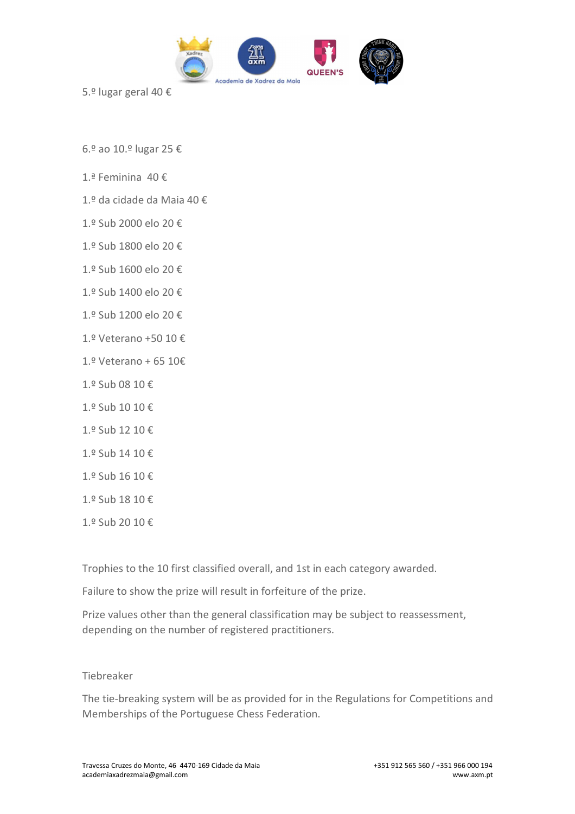

5.º lugar geral 40 €

6.º ao 10.º lugar 25 €

- 1.ª Feminina 40 €
- 1.º da cidade da Maia 40 €
- 1.º Sub 2000 elo 20 €
- 1.º Sub 1800 elo 20 €
- 1.º Sub 1600 elo 20 €
- 1.º Sub 1400 elo 20 €
- 1.º Sub 1200 elo 20 €
- 1.º Veterano +50 10 €
- 1.º Veterano + 65 10€
- 1.º Sub 08 10 €
- 1.º Sub 10 10 €
- 1.º Sub 12 10 €
- 1.º Sub 14 10 €
- 1.º Sub 16 10 €
- 1.º Sub 18 10 €
- 1.º Sub 20 10 €

Trophies to the 10 first classified overall, and 1st in each category awarded.

Failure to show the prize will result in forfeiture of the prize.

Prize values other than the general classification may be subject to reassessment, depending on the number of registered practitioners.

#### Tiebreaker

The tie-breaking system will be as provided for in the Regulations for Competitions and Memberships of the Portuguese Chess Federation.